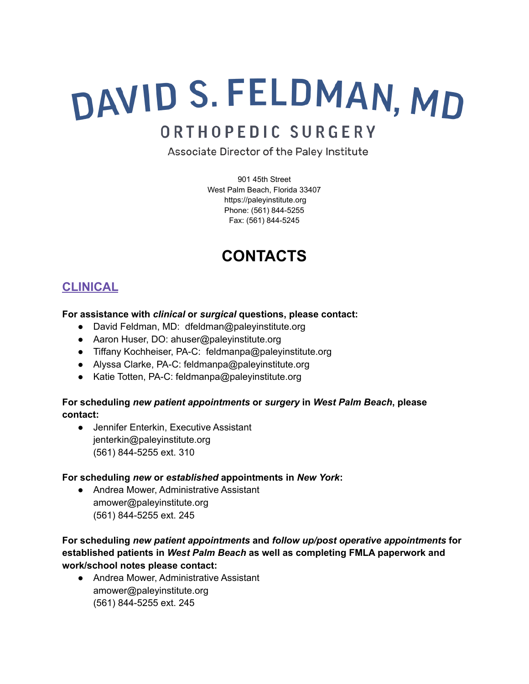# DAVID S. FELDMAN, MD

# ORTHOPEDIC SURGERY

Associate Director of the Paley Institute

901 45th Street West Palm Beach, Florida 33407 https://paleyinstitute.org Phone: (561) 844-5255 Fax: (561) 844-5245

# **CONTACTS**

## **CLINICAL**

## **For assistance with** *clinical* **or** *surgical* **questions, please contact:**

- David Feldman, MD: dfeldman@paleyinstitute.org
- Aaron Huser, DO: ahuser@paleyinstitute.org
- Tiffany Kochheiser, PA-C: feldmanpa@paleyinstitute.org
- Alyssa Clarke, PA-C: feldmanpa@paleyinstitute.org
- Katie Totten, PA-C: feldmanpa@paleyinstitute.org

## **For scheduling** *new patient appointments* **or** *surgery* **in** *West Palm Beach***, please contact:**

● Jennifer Enterkin, Executive Assistant jenterkin@paleyinstitute.org (561) 844-5255 ext. 310

## **For scheduling** *new* **or** *established* **appointments in** *New York***:**

● Andrea Mower, Administrative Assistant amower@paleyinstitute.org (561) 844-5255 ext. 245

## **For scheduling** *new patient appointments* **and** *follow up/post operative appointments* **for established patients in** *West Palm Beach* **as well as completing FMLA paperwork and work/school notes please contact:**

● Andrea Mower, Administrative Assistant amower@paleyinstitute.org (561) 844-5255 ext. 245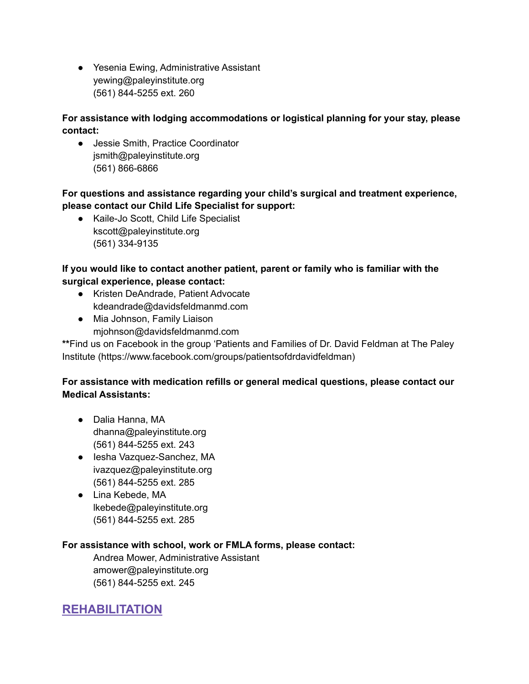● Yesenia Ewing, Administrative Assistant yewing@paleyinstitute.org (561) 844-5255 ext. 260

## **For assistance with lodging accommodations or logistical planning for your stay, please contact:**

● Jessie Smith, Practice Coordinator jsmith@paleyinstitute.org (561) 866-6866

## **For questions and assistance regarding your child's surgical and treatment experience, please contact our Child Life Specialist for support:**

● Kaile-Jo Scott, Child Life Specialist kscott@paleyinstitute.org (561) 334-9135

## **If you would like to contact another patient, parent or family who is familiar with the surgical experience, please contact:**

- Kristen DeAndrade, Patient Advocate kdeandrade@davidsfeldmanmd.com
- Mia Johnson, Family Liaison mjohnson@davidsfeldmanmd.com

**\*\***Find us on Facebook in the group 'Patients and Families of Dr. David Feldman at The Paley Institute (https://www.facebook.com/groups/patientsofdrdavidfeldman)

## **For assistance with medication refills or general medical questions, please contact our Medical Assistants:**

- Dalia Hanna, MA dhanna@paleyinstitute.org (561) 844-5255 ext. 243
- lesha Vazquez-Sanchez, MA ivazquez@paleyinstitute.org (561) 844-5255 ext. 285
- Lina Kebede, MA lkebede@paleyinstitute.org (561) 844-5255 ext. 285

## **For assistance with school, work or FMLA forms, please contact:**

Andrea Mower, Administrative Assistant amower@paleyinstitute.org (561) 844-5255 ext. 245

## **REHABILITATION**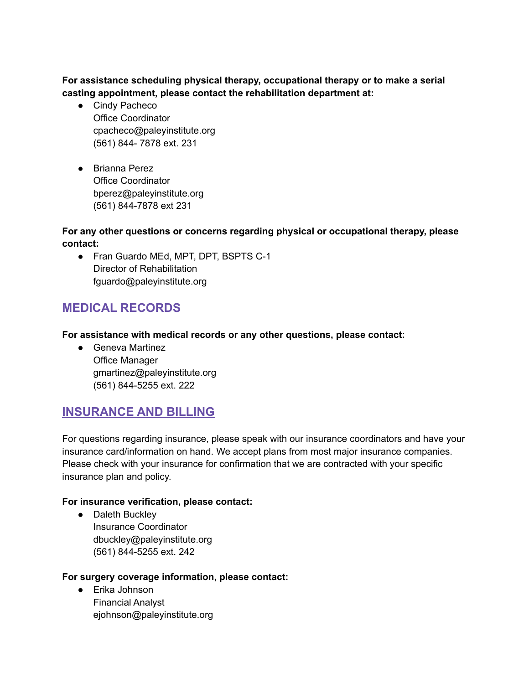**For assistance scheduling physical therapy, occupational therapy or to make a serial casting appointment, please contact the rehabilitation department at:**

- Cindy Pacheco Office Coordinator cpacheco@paleyinstitute.org (561) 844- 7878 ext. 231
- Brianna Perez Office Coordinator bperez@paleyinstitute.org (561) 844-7878 ext 231

#### **For any other questions or concerns regarding physical or occupational therapy, please contact:**

● Fran Guardo MEd, MPT, DPT, BSPTS C-1 Director of Rehabilitation fguardo@paleyinstitute.org

## **MEDICAL RECORDS**

#### **For assistance with medical records or any other questions, please contact:**

● Geneva Martinez Office Manager gmartinez@paleyinstitute.org (561) 844-5255 ext. 222

## **INSURANCE AND BILLING**

For questions regarding insurance, please speak with our insurance coordinators and have your insurance card/information on hand. We accept plans from most major insurance companies. Please check with your insurance for confirmation that we are contracted with your specific insurance plan and policy.

## **For insurance verification, please contact:**

● Daleth Buckley Insurance Coordinator dbuckley@paleyinstitute.org (561) 844-5255 ext. 242

#### **For surgery coverage information, please contact:**

● Erika Johnson Financial Analyst ejohnson@paleyinstitute.org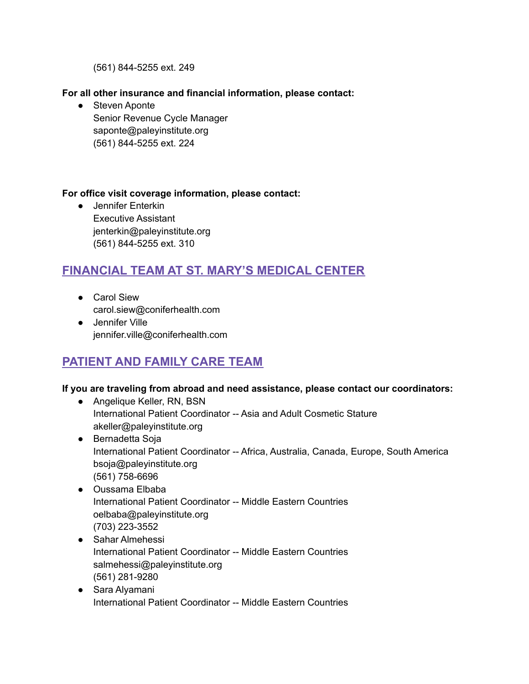(561) 844-5255 ext. 249

#### **For all other insurance and financial information, please contact:**

● Steven Aponte Senior Revenue Cycle Manager saponte@paleyinstitute.org (561) 844-5255 ext. 224

#### **For office visit coverage information, please contact:**

● Jennifer Enterkin Executive Assistant jenterkin@paleyinstitute.org (561) 844-5255 ext. 310

## **FINANCIAL TEAM AT ST. MARY'S MEDICAL CENTER**

- Carol Siew carol.siew@coniferhealth.com
- Jennifer Ville jennifer.ville@coniferhealth.com

## **PATIENT AND FAMILY CARE TEAM**

## **If you are traveling from abroad and need assistance, please contact our coordinators:**

- Angelique Keller, RN, BSN International Patient Coordinator -- Asia and Adult Cosmetic Stature akeller@paleyinstitute.org
- Bernadetta Soja International Patient Coordinator -- Africa, Australia, Canada, Europe, South America bsoja@paleyinstitute.org (561) 758-6696
- Oussama Elbaba International Patient Coordinator -- Middle Eastern Countries oelbaba@paleyinstitute.org (703) 223-3552
- Sahar Almehessi International Patient Coordinator -- Middle Eastern Countries salmehessi@paleyinstitute.org (561) 281-9280
- Sara Alyamani International Patient Coordinator -- Middle Eastern Countries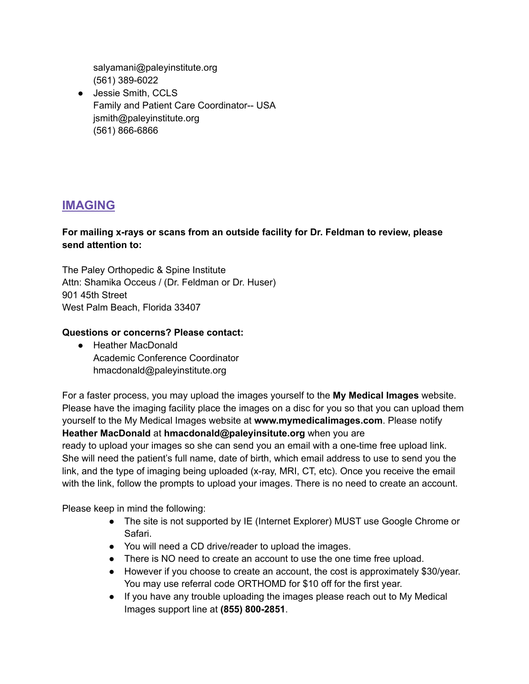salyamani@paleyinstitute.org (561) 389-6022

● Jessie Smith, CCLS Family and Patient Care Coordinator-- USA jsmith@paleyinstitute.org (561) 866-6866

## **IMAGING**

#### **For mailing x-rays or scans from an outside facility for Dr. Feldman to review, please send attention to:**

The Paley Orthopedic & Spine Institute Attn: Shamika Occeus / (Dr. Feldman or Dr. Huser) 901 45th Street West Palm Beach, Florida 33407

## **Questions or concerns? Please contact:**

● Heather MacDonald Academic Conference Coordinator hmacdonald@paleyinstitute.org

For a faster process, you may upload the images yourself to the **My Medical Images** website. Please have the imaging facility place the images on a disc for you so that you can upload them yourself to the My Medical Images website at **www.mymedicalimages.com**. Please notify **Heather MacDonald** at **hmacdonald@paleyinsitute.org** when you are

ready to upload your images so she can send you an email with a one-time free upload link. She will need the patient's full name, date of birth, which email address to use to send you the link, and the type of imaging being uploaded (x-ray, MRI, CT, etc). Once you receive the email with the link, follow the prompts to upload your images. There is no need to create an account.

Please keep in mind the following:

- The site is not supported by IE (Internet Explorer) MUST use Google Chrome or Safari.
- You will need a CD drive/reader to upload the images.
- There is NO need to create an account to use the one time free upload.
- However if you choose to create an account, the cost is approximately \$30/year. You may use referral code ORTHOMD for \$10 off for the first year.
- If you have any trouble uploading the images please reach out to My Medical Images support line at **(855) 800-2851**.